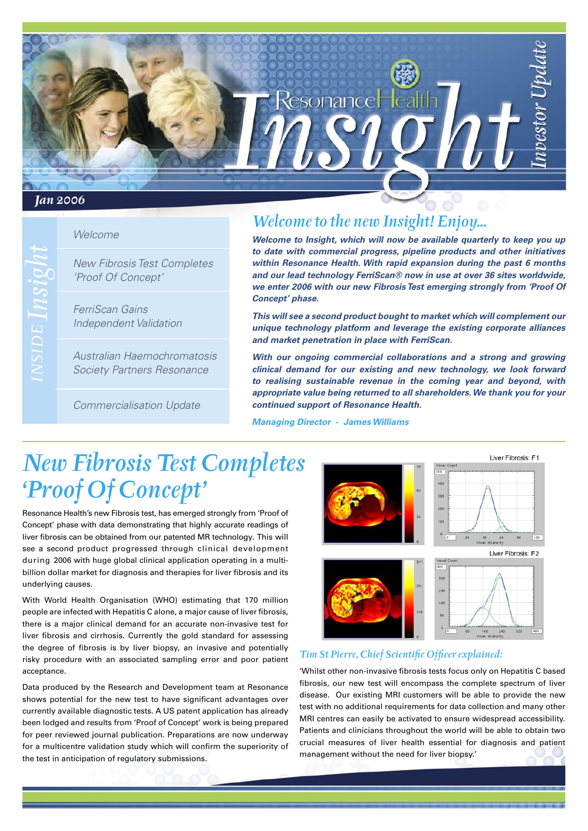# ResonanceHeal *Jan 2006*

### Welcome

New Fibrosis Test Completes 'Proof Of Concept'

FerriScan Gains Independent Validation

Australian Haemochromatosis Society Partners Resonance

Commercialisation Update

## *Welcome to the new Insight! Enjoy...*

**Welcome to Insight, which will now be available quarterly to keep you up to date with commercial progress, pipeline products and other initiatives within Resonance Health. With rapid expansion during the past 6 months and our lead technology FerriScan® now in use at over 36 sites worldwide, we enter 2006 with our new Fibrosis Test emerging strongly from 'Proof Of Concept' phase.**

**This will see a second product bought to market which will complement our unique technology platform and leverage the existing corporate alliances and market penetration in place with FerriScan.** 

**With our ongoing commercial collaborations and a strong and growing clinical demand for our existing and new technology, we look forward to realising sustainable revenue in the coming year and beyond, with appropriate value being returned to all shareholders. We thank you for your continued support of Resonance Health.**

**Managing Director - James Williams**

## *New Fibrosis Test Completes 'Proof Of Concept'*

Resonance Health's new Fibrosis test, has emerged strongly from 'Proof of Concept' phase with data demonstrating that highly accurate readings of liver fibrosis can be obtained from our patented MR technology. This will see a second product progressed through clinical development during 2006 with huge global clinical application operating in a multibillion dollar market for diagnosis and therapies for liver fibrosis and its underlying causes.

With World Health Organisation (WHO) estimating that 170 million people are infected with Hepatitis C alone, a major cause of liver fibrosis, there is a major clinical demand for an accurate non-invasive test for liver fibrosis and cirrhosis. Currently the gold standard for assessing the degree of fibrosis is by liver biopsy, an invasive and potentially risky procedure with an associated sampling error and poor patient acceptance.

Data produced by the Research and Development team at Resonance shows potential for the new test to have significant advantages over currently available diagnostic tests. A US patent application has already been lodged and results from 'Proof of Concept' work is being prepared for peer reviewed journal publication. Preparations are now underway for a multicentre validation study which will confirm the superiority of the test in anticipation of regulatory submissions.



#### *Tim St Pierre, Chief Scientific Officer explained:*

'Whilst other non-invasive fibrosis tests focus only on Hepatitis C based fibrosis, our new test will encompass the complete spectrum of liver disease. Our existing MRI customers will be able to provide the new test with no additional requirements for data collection and many other MRI centres can easily be activated to ensure widespread accessibility. Patients and clinicians throughout the world will be able to obtain two crucial measures of liver health essential for diagnosis and patient management without the need for liver biopsy.'